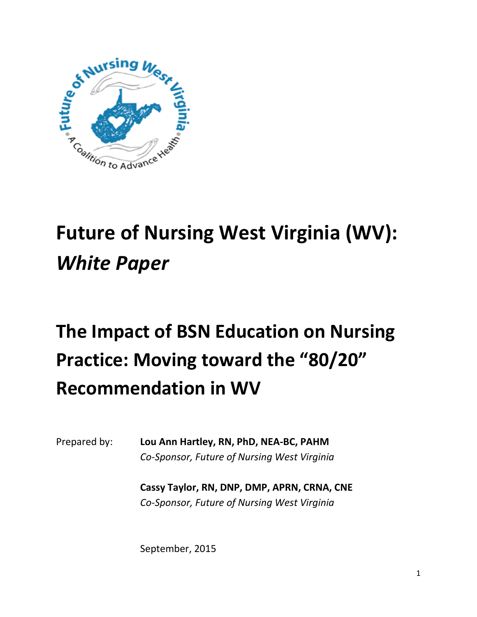

# **Future of Nursing West Virginia (WV):**  *White Paper*

# **The Impact of BSN Education on Nursing Practice: Moving toward the "80/20" Recommendation in WV**

Prepared by: **Lou Ann Hartley, RN, PhD, NEA-BC, PAHM** *Co-Sponsor, Future of Nursing West Virginia* 

> **Cassy Taylor, RN, DNP, DMP, APRN, CRNA, CNE**  *Co-Sponsor, Future of Nursing West Virginia*

September, 2015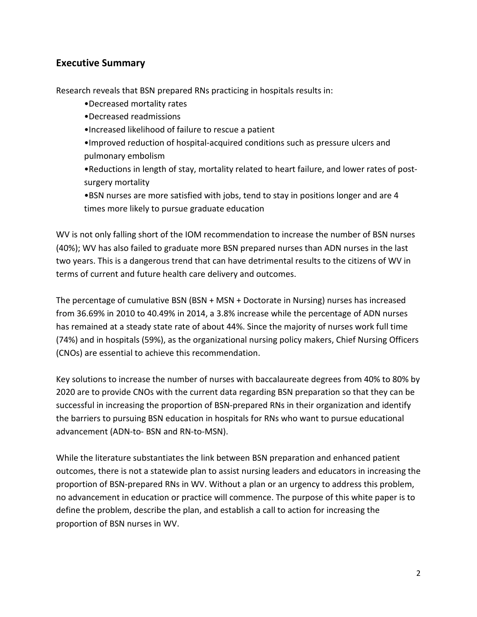## **Executive Summary**

Research reveals that BSN prepared RNs practicing in hospitals results in:

- •Decreased mortality rates
- •Decreased readmissions
- •Increased likelihood of failure to rescue a patient
- •Improved reduction of hospital-acquired conditions such as pressure ulcers and pulmonary embolism

•Reductions in length of stay, mortality related to heart failure, and lower rates of postsurgery mortality

•BSN nurses are more satisfied with jobs, tend to stay in positions longer and are 4 times more likely to pursue graduate education

WV is not only falling short of the IOM recommendation to increase the number of BSN nurses (40%); WV has also failed to graduate more BSN prepared nurses than ADN nurses in the last two years. This is a dangerous trend that can have detrimental results to the citizens of WV in terms of current and future health care delivery and outcomes.

The percentage of cumulative BSN (BSN + MSN + Doctorate in Nursing) nurses has increased from 36.69% in 2010 to 40.49% in 2014, a 3.8% increase while the percentage of ADN nurses has remained at a steady state rate of about 44%. Since the majority of nurses work full time (74%) and in hospitals (59%), as the organizational nursing policy makers, Chief Nursing Officers (CNOs) are essential to achieve this recommendation.

Key solutions to increase the number of nurses with baccalaureate degrees from 40% to 80% by 2020 are to provide CNOs with the current data regarding BSN preparation so that they can be successful in increasing the proportion of BSN-prepared RNs in their organization and identify the barriers to pursuing BSN education in hospitals for RNs who want to pursue educational advancement (ADN-to- BSN and RN-to-MSN).

While the literature substantiates the link between BSN preparation and enhanced patient outcomes, there is not a statewide plan to assist nursing leaders and educators in increasing the proportion of BSN-prepared RNs in WV. Without a plan or an urgency to address this problem, no advancement in education or practice will commence. The purpose of this white paper is to define the problem, describe the plan, and establish a call to action for increasing the proportion of BSN nurses in WV.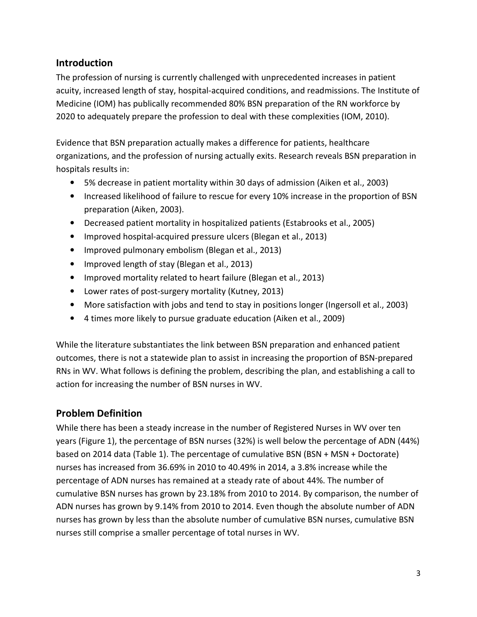## **Introduction**

The profession of nursing is currently challenged with unprecedented increases in patient acuity, increased length of stay, hospital-acquired conditions, and readmissions. The Institute of Medicine (IOM) has publically recommended 80% BSN preparation of the RN workforce by 2020 to adequately prepare the profession to deal with these complexities (IOM, 2010).

Evidence that BSN preparation actually makes a difference for patients, healthcare organizations, and the profession of nursing actually exits. Research reveals BSN preparation in hospitals results in:

- 5% decrease in patient mortality within 30 days of admission (Aiken et al., 2003)
- Increased likelihood of failure to rescue for every 10% increase in the proportion of BSN preparation (Aiken, 2003).
- Decreased patient mortality in hospitalized patients (Estabrooks et al., 2005)
- Improved hospital-acquired pressure ulcers (Blegan et al., 2013)
- Improved pulmonary embolism (Blegan et al., 2013)
- Improved length of stay (Blegan et al., 2013)
- Improved mortality related to heart failure (Blegan et al., 2013)
- Lower rates of post-surgery mortality (Kutney, 2013)
- More satisfaction with jobs and tend to stay in positions longer (Ingersoll et al., 2003)
- 4 times more likely to pursue graduate education (Aiken et al., 2009)

While the literature substantiates the link between BSN preparation and enhanced patient outcomes, there is not a statewide plan to assist in increasing the proportion of BSN-prepared RNs in WV. What follows is defining the problem, describing the plan, and establishing a call to action for increasing the number of BSN nurses in WV.

#### **Problem Definition**

While there has been a steady increase in the number of Registered Nurses in WV over ten years (Figure 1), the percentage of BSN nurses (32%) is well below the percentage of ADN (44%) based on 2014 data (Table 1). The percentage of cumulative BSN (BSN + MSN + Doctorate) nurses has increased from 36.69% in 2010 to 40.49% in 2014, a 3.8% increase while the percentage of ADN nurses has remained at a steady rate of about 44%. The number of cumulative BSN nurses has grown by 23.18% from 2010 to 2014. By comparison, the number of ADN nurses has grown by 9.14% from 2010 to 2014. Even though the absolute number of ADN nurses has grown by less than the absolute number of cumulative BSN nurses, cumulative BSN nurses still comprise a smaller percentage of total nurses in WV.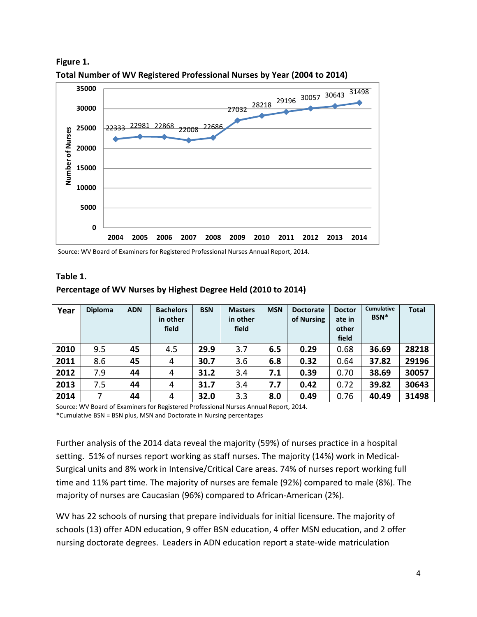

**Total Number of WV Registered Professional Nurses by Year (2004 to 2014)** 

Source: WV Board of Examiners for Registered Professional Nurses Annual Report, 2014.

#### **Table 1.**

**Figure 1.** 

| Year | <b>Diploma</b> | <b>ADN</b> | <b>Bachelors</b><br>in other<br>field | <b>BSN</b> | <b>Masters</b><br>in other<br>field | <b>MSN</b> | <b>Doctorate</b><br>of Nursing | <b>Doctor</b><br>ate in<br>other<br>field | <b>Cumulative</b><br>BSN <sup>*</sup> | <b>Total</b> |
|------|----------------|------------|---------------------------------------|------------|-------------------------------------|------------|--------------------------------|-------------------------------------------|---------------------------------------|--------------|
| 2010 | 9.5            | 45         | 4.5                                   | 29.9       | 3.7                                 | 6.5        | 0.29                           | 0.68                                      | 36.69                                 | 28218        |
| 2011 | 8.6            | 45         | 4                                     | 30.7       | 3.6                                 | 6.8        | 0.32                           | 0.64                                      | 37.82                                 | 29196        |
| 2012 | 7.9            | 44         | 4                                     | 31.2       | 3.4                                 | 7.1        | 0.39                           | 0.70                                      | 38.69                                 | 30057        |
| 2013 | 7.5            | 44         | 4                                     | 31.7       | 3.4                                 | 7.7        | 0.42                           | 0.72                                      | 39.82                                 | 30643        |
| 2014 | 7              | 44         | 4                                     | 32.0       | 3.3                                 | 8.0        | 0.49                           | 0.76                                      | 40.49                                 | 31498        |

#### **Percentage of WV Nurses by Highest Degree Held (2010 to 2014)**

Source: WV Board of Examiners for Registered Professional Nurses Annual Report, 2014.

\*Cumulative BSN = BSN plus, MSN and Doctorate in Nursing percentages

Further analysis of the 2014 data reveal the majority (59%) of nurses practice in a hospital setting. 51% of nurses report working as staff nurses. The majority (14%) work in Medical-Surgical units and 8% work in Intensive/Critical Care areas. 74% of nurses report working full time and 11% part time. The majority of nurses are female (92%) compared to male (8%). The majority of nurses are Caucasian (96%) compared to African-American (2%).

WV has 22 schools of nursing that prepare individuals for initial licensure. The majority of schools (13) offer ADN education, 9 offer BSN education, 4 offer MSN education, and 2 offer nursing doctorate degrees. Leaders in ADN education report a state-wide matriculation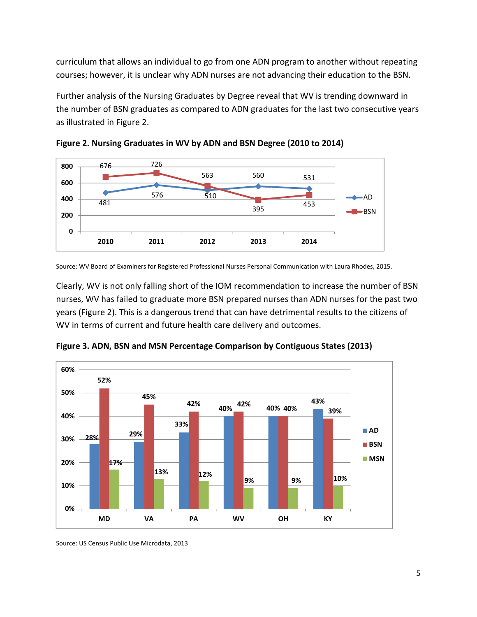curriculum that allows an individual to go from one ADN program to another without repeating courses; however, it is unclear why ADN nurses are not advancing their education to the BSN.

Further analysis of the Nursing Graduates by Degree reveal that WV is trending downward in the number of BSN graduates as compared to ADN graduates for the last two consecutive years as illustrated in Figure 2.





Source: WV Board of Examiners for Registered Professional Nurses Personal Communication with Laura Rhodes, 2015.

Clearly, WV is not only falling short of the IOM recommendation to increase the number of BSN nurses, WV has failed to graduate more BSN prepared nurses than ADN nurses for the past two years (Figure 2). This is a dangerous trend that can have detrimental results to the citizens of WV in terms of current and future health care delivery and outcomes.



**Figure 3. ADN, BSN and MSN Percentage Comparison by Contiguous States (2013)** 

Source: US Census Public Use Microdata, 2013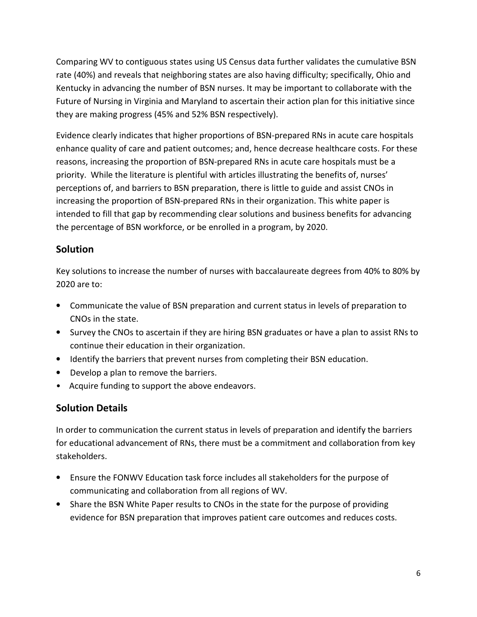Comparing WV to contiguous states using US Census data further validates the cumulative BSN rate (40%) and reveals that neighboring states are also having difficulty; specifically, Ohio and Kentucky in advancing the number of BSN nurses. It may be important to collaborate with the Future of Nursing in Virginia and Maryland to ascertain their action plan for this initiative since they are making progress (45% and 52% BSN respectively).

Evidence clearly indicates that higher proportions of BSN-prepared RNs in acute care hospitals enhance quality of care and patient outcomes; and, hence decrease healthcare costs. For these reasons, increasing the proportion of BSN-prepared RNs in acute care hospitals must be a priority. While the literature is plentiful with articles illustrating the benefits of, nurses' perceptions of, and barriers to BSN preparation, there is little to guide and assist CNOs in increasing the proportion of BSN-prepared RNs in their organization. This white paper is intended to fill that gap by recommending clear solutions and business benefits for advancing the percentage of BSN workforce, or be enrolled in a program, by 2020.

## **Solution**

Key solutions to increase the number of nurses with baccalaureate degrees from 40% to 80% by 2020 are to:

- Communicate the value of BSN preparation and current status in levels of preparation to CNOs in the state.
- Survey the CNOs to ascertain if they are hiring BSN graduates or have a plan to assist RNs to continue their education in their organization.
- Identify the barriers that prevent nurses from completing their BSN education.
- Develop a plan to remove the barriers.
- Acquire funding to support the above endeavors.

# **Solution Details**

In order to communication the current status in levels of preparation and identify the barriers for educational advancement of RNs, there must be a commitment and collaboration from key stakeholders.

- Ensure the FONWV Education task force includes all stakeholders for the purpose of communicating and collaboration from all regions of WV.
- Share the BSN White Paper results to CNOs in the state for the purpose of providing evidence for BSN preparation that improves patient care outcomes and reduces costs.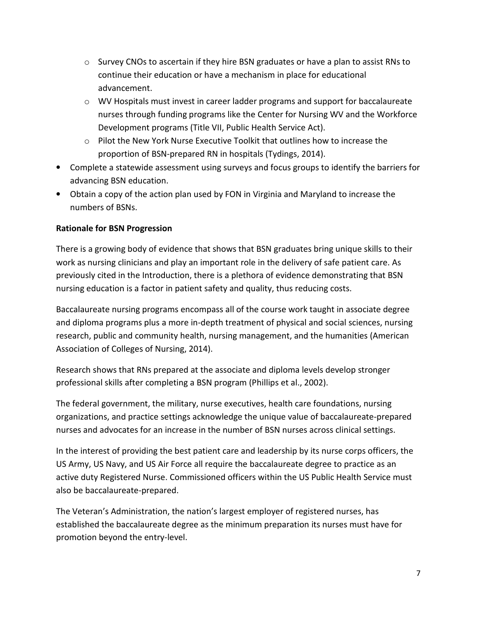- $\circ$  Survey CNOs to ascertain if they hire BSN graduates or have a plan to assist RNs to continue their education or have a mechanism in place for educational advancement.
- o WV Hospitals must invest in career ladder programs and support for baccalaureate nurses through funding programs like the Center for Nursing WV and the Workforce Development programs (Title VII, Public Health Service Act).
- o Pilot the New York Nurse Executive Toolkit that outlines how to increase the proportion of BSN-prepared RN in hospitals (Tydings, 2014).
- Complete a statewide assessment using surveys and focus groups to identify the barriers for advancing BSN education.
- Obtain a copy of the action plan used by FON in Virginia and Maryland to increase the numbers of BSNs.

#### **Rationale for BSN Progression**

There is a growing body of evidence that shows that BSN graduates bring unique skills to their work as nursing clinicians and play an important role in the delivery of safe patient care. As previously cited in the Introduction, there is a plethora of evidence demonstrating that BSN nursing education is a factor in patient safety and quality, thus reducing costs.

Baccalaureate nursing programs encompass all of the course work taught in associate degree and diploma programs plus a more in-depth treatment of physical and social sciences, nursing research, public and community health, nursing management, and the humanities (American Association of Colleges of Nursing, 2014).

Research shows that RNs prepared at the associate and diploma levels develop stronger professional skills after completing a BSN program (Phillips et al., 2002).

The federal government, the military, nurse executives, health care foundations, nursing organizations, and practice settings acknowledge the unique value of baccalaureate-prepared nurses and advocates for an increase in the number of BSN nurses across clinical settings.

In the interest of providing the best patient care and leadership by its nurse corps officers, the US Army, US Navy, and US Air Force all require the baccalaureate degree to practice as an active duty Registered Nurse. Commissioned officers within the US Public Health Service must also be baccalaureate-prepared.

The Veteran's Administration, the nation's largest employer of registered nurses, has established the baccalaureate degree as the minimum preparation its nurses must have for promotion beyond the entry-level.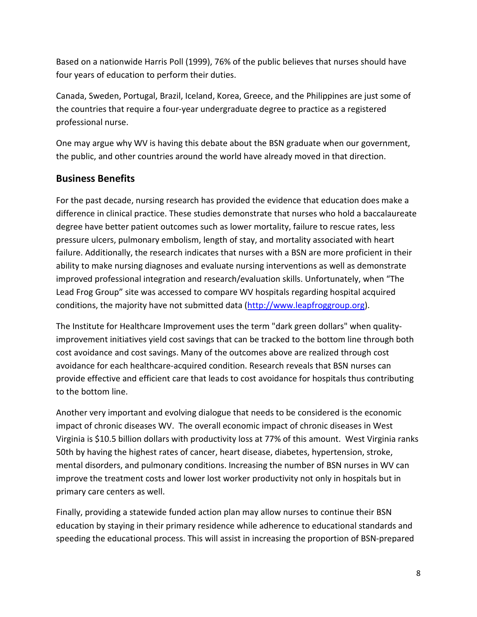Based on a nationwide Harris Poll (1999), 76% of the public believes that nurses should have four years of education to perform their duties.

Canada, Sweden, Portugal, Brazil, Iceland, Korea, Greece, and the Philippines are just some of the countries that require a four-year undergraduate degree to practice as a registered professional nurse.

One may argue why WV is having this debate about the BSN graduate when our government, the public, and other countries around the world have already moved in that direction.

## **Business Benefits**

For the past decade, nursing research has provided the evidence that education does make a difference in clinical practice. These studies demonstrate that nurses who hold a baccalaureate degree have better patient outcomes such as lower mortality, failure to rescue rates, less pressure ulcers, pulmonary embolism, length of stay, and mortality associated with heart failure. Additionally, the research indicates that nurses with a BSN are more proficient in their ability to make nursing diagnoses and evaluate nursing interventions as well as demonstrate improved professional integration and research/evaluation skills. Unfortunately, when "The Lead Frog Group" site was accessed to compare WV hospitals regarding hospital acquired conditions, the majority have not submitted data (http://www.leapfroggroup.org).

The Institute for Healthcare Improvement uses the term "dark green dollars" when qualityimprovement initiatives yield cost savings that can be tracked to the bottom line through both cost avoidance and cost savings. Many of the outcomes above are realized through cost avoidance for each healthcare-acquired condition. Research reveals that BSN nurses can provide effective and efficient care that leads to cost avoidance for hospitals thus contributing to the bottom line.

Another very important and evolving dialogue that needs to be considered is the economic impact of chronic diseases WV. The overall economic impact of chronic diseases in West Virginia is \$10.5 billion dollars with productivity loss at 77% of this amount. West Virginia ranks 50th by having the highest rates of cancer, heart disease, diabetes, hypertension, stroke, mental disorders, and pulmonary conditions. Increasing the number of BSN nurses in WV can improve the treatment costs and lower lost worker productivity not only in hospitals but in primary care centers as well.

Finally, providing a statewide funded action plan may allow nurses to continue their BSN education by staying in their primary residence while adherence to educational standards and speeding the educational process. This will assist in increasing the proportion of BSN-prepared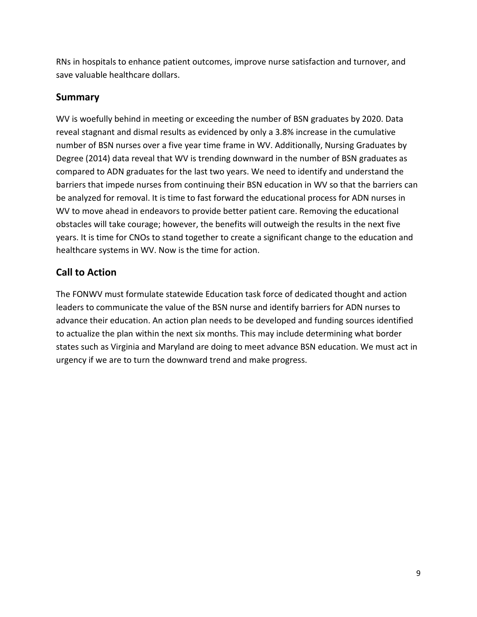RNs in hospitals to enhance patient outcomes, improve nurse satisfaction and turnover, and save valuable healthcare dollars.

#### **Summary**

WV is woefully behind in meeting or exceeding the number of BSN graduates by 2020. Data reveal stagnant and dismal results as evidenced by only a 3.8% increase in the cumulative number of BSN nurses over a five year time frame in WV. Additionally, Nursing Graduates by Degree (2014) data reveal that WV is trending downward in the number of BSN graduates as compared to ADN graduates for the last two years. We need to identify and understand the barriers that impede nurses from continuing their BSN education in WV so that the barriers can be analyzed for removal. It is time to fast forward the educational process for ADN nurses in WV to move ahead in endeavors to provide better patient care. Removing the educational obstacles will take courage; however, the benefits will outweigh the results in the next five years. It is time for CNOs to stand together to create a significant change to the education and healthcare systems in WV. Now is the time for action.

# **Call to Action**

The FONWV must formulate statewide Education task force of dedicated thought and action leaders to communicate the value of the BSN nurse and identify barriers for ADN nurses to advance their education. An action plan needs to be developed and funding sources identified to actualize the plan within the next six months. This may include determining what border states such as Virginia and Maryland are doing to meet advance BSN education. We must act in urgency if we are to turn the downward trend and make progress.